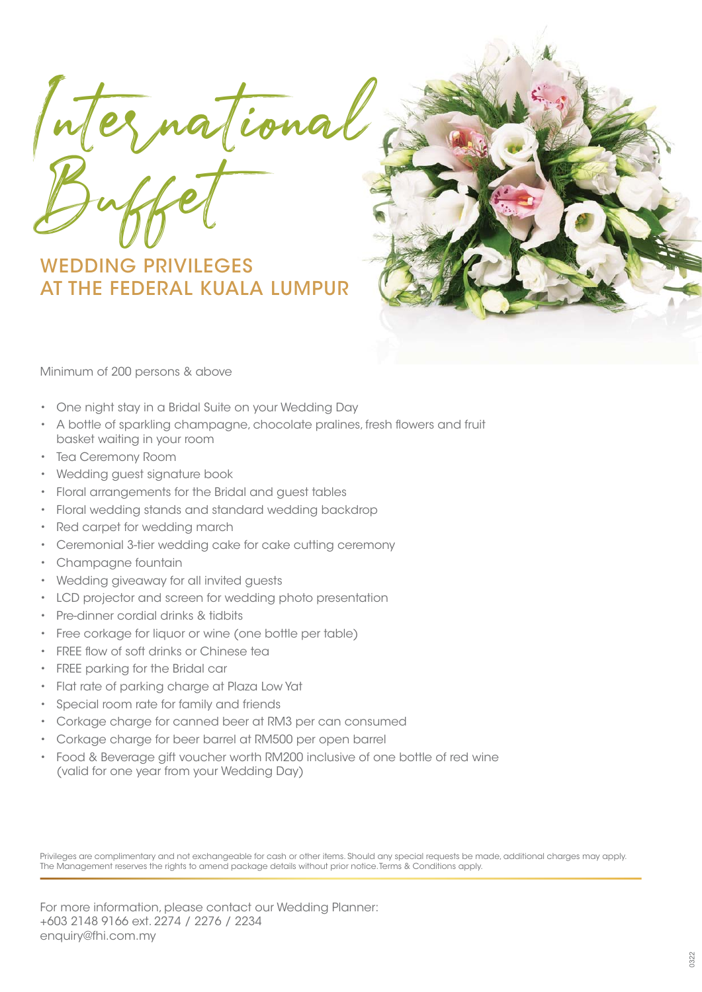International. Buffet

WEDDING PRIVILEGES AT THE FEDERAL KUALA LUMPUR



Minimum of 200 persons & above

- One night stay in a Bridal Suite on your Wedding Day
- A bottle of sparkling champagne, chocolate pralines, fresh flowers and fruit basket waiting in your room
- Tea Ceremony Room
- Wedding guest signature book
- Floral arrangements for the Bridal and guest tables
- Floral wedding stands and standard wedding backdrop
- Red carpet for wedding march
- Ceremonial 3-tier wedding cake for cake cutting ceremony
- Champagne fountain
- Wedding giveaway for all invited guests
- LCD projector and screen for wedding photo presentation
- Pre-dinner cordial drinks & tidbits
- Free corkage for liquor or wine (one bottle per table)
- FREE flow of soft drinks or Chinese tea
- FREE parking for the Bridal car
- Flat rate of parking charge at Plaza Low Yat
- Special room rate for family and friends
- Corkage charge for canned beer at RM3 per can consumed
- Corkage charge for beer barrel at RM500 per open barrel
- Food & Beverage gift voucher worth RM200 inclusive of one bottle of red wine (valid for one year from your Wedding Day)

Privileges are complimentary and not exchangeable for cash or other items. Should any special requests be made, additional charges may apply. The Management reserves the rights to amend package details without prior notice. Terms & Conditions apply.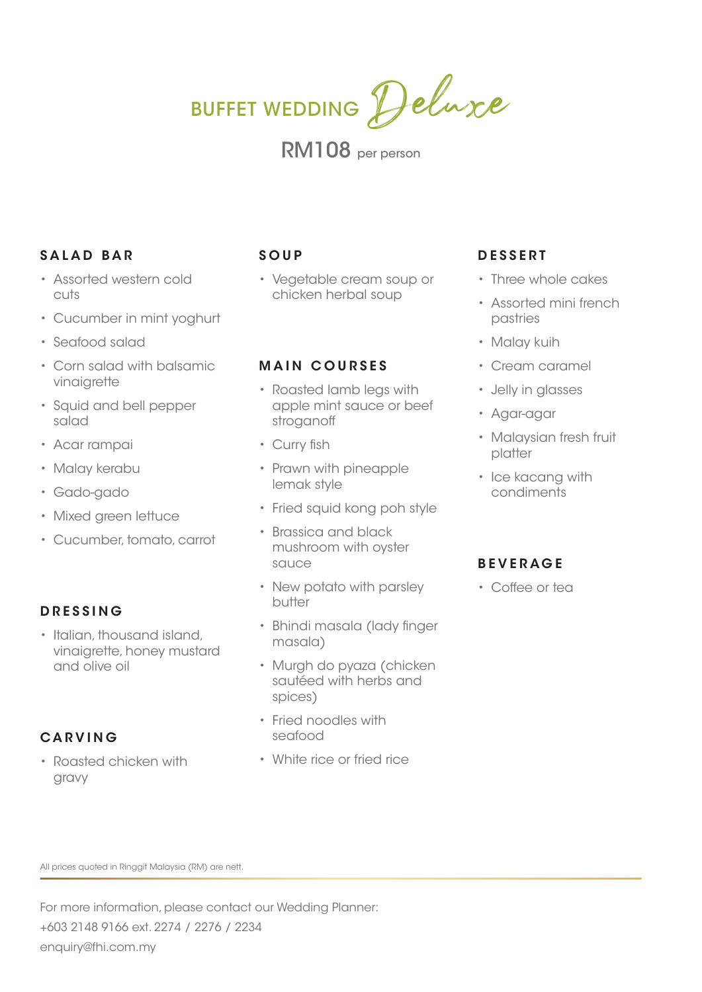BUFFET WEDDING Deluxe

RM108 per person

# **SALAD BAR**

- Assorted western cold cuts
- Cucumber in mint yoghurt
- Seafood salad
- Corn salad with balsamic vinaigrette
- Squid and bell pepper salad
- Acar rampai
- Malay kerabu
- Gado-gado
- Mixed green lettuce
- Cucumber, tomato, carrot

## **DRESSING**

• Italian, thousand island, vinaigrette, honey mustard and olive oil

## **CARVING**

• Roasted chicken with gravy

# **SOUP**

• Vegetable cream soup or chicken herbal soup

## **MAIN COURSES**

- Roasted lamb legs with apple mint sauce or beef stroganoff
- Curry fish
- Prawn with pineapple lemak style
- Fried squid kong poh style
- Brassica and black mushroom with oyster sauce
- New potato with parsley butter
- Bhindi masala (lady finger masala)
- Murgh do pyaza (chicken sautéed with herbs and spices)
- Fried noodles with seafood
- White rice or fried rice

# **DESSERT**

- Three whole cakes
- Assorted mini french pastries
- Malay kuih
- Cream caramel
- Jelly in glasses
- Agar-agar
- Malaysian fresh fruit platter
- Ice kacang with condiments

## **BEVERAGE**

• Coffee or tea

All prices quoted in Ringgit Malaysia (RM) are nett.

For more information, please contact our Wedding Planner: +603 2148 9166 ext. 2274 / 2276 / 2234 enquiry@fhi.com.my